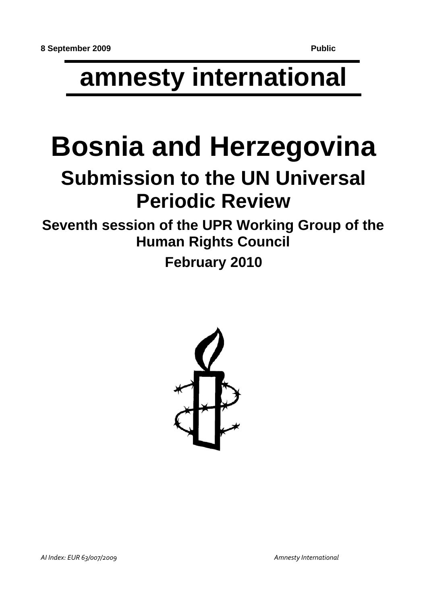# **amnesty international**

# **Bosnia and Herzegovina**

## **Submission to the UN Universal Periodic Review**

**Seventh session of the UPR Working Group of the Human Rights Council**

**February 2010**

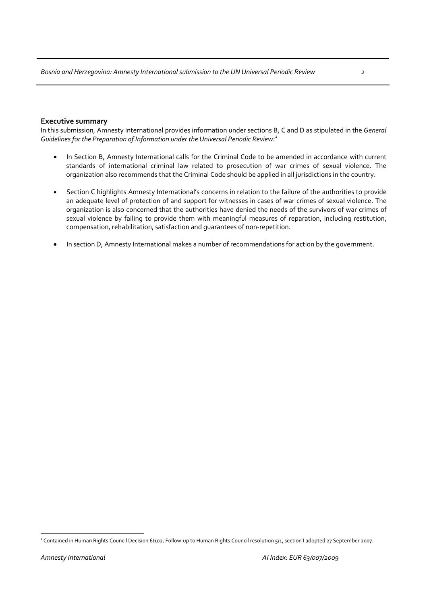#### **Executive summary**

In this submission, Amnesty International provides information under sections B, C and D as stipulated in the *General Guidelines for the Preparation of Information under the Universal Periodic Review:*[1](#page-1-0)

- In Section B, Amnesty International calls for the Criminal Code to be amended in accordance with current standards of international criminal law related to prosecution of war crimes of sexual violence. The organization also recommends that the Criminal Code should be applied in all jurisdictions in the country.
- Section C highlights Amnesty International's concerns in relation to the failure of the authorities to provide an adequate level of protection of and support for witnesses in cases of war crimes of sexual violence. The organization is also concerned that the authorities have denied the needs of the survivors of war crimes of sexual violence by failing to provide them with meaningful measures of reparation, including restitution, compensation, rehabilitation, satisfaction and guarantees of non‐repetition.
- In section D, Amnesty International makes a number of recommendations for action by the government.

<span id="page-1-0"></span> $\overline{a}$ <sup>1</sup> Contained in Human Rights Council Decision 6/102, Follow-up to Human Rights Council resolution 5/1, section I adopted 27 September 2007.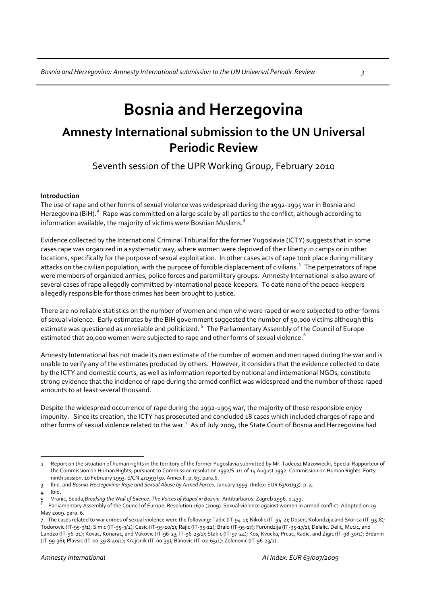## **Bosnia and Herzegovina**

### **Amnesty International submission to the UN Universal Periodic Review**

Seventh session of the UPR Working Group, February 2010

#### **Introduction**

The use of rape and other forms of sexual violence was widespread during the 1992‐1995 war in Bosnia and Herzegovina (BiH).<sup>[2](#page-2-0)</sup> Rape was committed on a large scale by all parties to the conflict, although according to information available, the majority of victims were Bosnian Muslims. $^3$  $^3$ 

Evidence collected by the International Criminal Tribunal for the former Yugoslavia (ICTY) suggests that in some cases rape was organized in a systematic way, where women were deprived of their liberty in camps or in other locations, specifically for the purpose of sexual exploitation. In other cases acts of rape took place during military attacks on the civilian population, with the purpose of forcible displacement of civilians.<sup>[4](#page-2-2)</sup> The perpetrators of rape were members of organized armies, police forces and paramilitary groups. Amnesty International is also aware of several cases of rape allegedly committed by international peace‐keepers. To date none of the peace‐keepers allegedly responsible for those crimes has been brought to justice.

There are no reliable statistics on the number of women and men who were raped or were subjected to other forms of sexual violence. Early estimates by the BiH government suggested the number of 50,000 victims although this estimate was questioned as unreliable and politicized.<sup>[5](#page-2-3)</sup> The Parliamentary Assembly of the Council of Europe estimated that 20,000 women were subjected to rape and other forms of sexual violence.<sup>[6](#page-2-4)</sup>

Amnesty International has not made its own estimate of the number of women and men raped during the war and is unable to verify any of the estimates produced by others. However, it considers that the evidence collected to date by the ICTY and domestic courts, as well as information reported by national and international NGOs, constitute strong evidence that the incidence of rape during the armed conflict was widespread and the number of those raped amounts to at least several thousand.

Despite the widespread occurrence of rape during the 1992‐1995 war, the majority of those responsible enjoy impunity. Since its creation, the ICTY has prosecuted and concluded 18 cases which included charges of rape and other forms of sexual violence related to the war.<sup>[7](#page-2-5)</sup> As of July 2009, the State Court of Bosnia and Herzegovina had

 $\overline{a}$ 

<span id="page-2-0"></span><sup>2</sup> Report on the situation of human rights in the territory of the former Yugoslavia submitted by Mr. Tadeusz Mazowiecki, Special Rapporteur of the Commission on Human Rights, pursuant to Commission resolution 1992/S-1/1 of 14 August 1992. Commission on Human Rights. Fortyninth session. 10 February 1993. E/CN.4/1993/50. Annex II. p. 63. para.6.

<span id="page-2-2"></span><span id="page-2-1"></span><sup>3</sup> Ibid. and *Bosnia‐Herzegovina: Rape and Sexual Abuse by Armed Forces*. January 1993. (Index: EUR 63/01/93). p. 4.

Ibid.

<span id="page-2-3"></span><sup>5</sup> Vranic, Seada,*Breaking the Wall of Silence. The Voices of Raped in Bosnia.* Antibarbarus: Zagreb 1996. p.239.  $\frac{5}{6}$ 

<span id="page-2-4"></span>Parliamentary Assembly of the Council of Europe. Resolution 1670 (2009). Sexual violence against women in armed conflict. Adopted on 29 May 2009. para. 6.

<span id="page-2-5"></span><sup>7</sup> The cases related to war crimes of sexual violence were the following: Tadic (IT‐94‐1); Nikolic (IT‐94‐2); Dosen, Kolundzija and Sikirica (IT‐95‐8); Todorovic (IT‐95‐9/1); Simic (IT‐95‐9/2); Cesic (IT‐95‐10/1); Rajic (IT‐95‐12); Bralo (IT‐95‐17); Furundzija (IT‐95‐17/1); Delalic, Delic, Mucic, and Landzo (IT‐96‐21); Kovac, Kunarac, and Vukovic (IT‐96‐23, IT‐96‐23/1); Stakic (IT‐97‐24); Kos, Kvocka, Prcac, Radic, and Zigic (IT‐98‐30/1); Brdanin (IT‐99‐36); Plavsic (IT‐00‐39 & 40/1); Krajisnik (IT‐00‐39); Banovic (IT‐02‐65/1); Zelenovic (IT‐96‐23/2).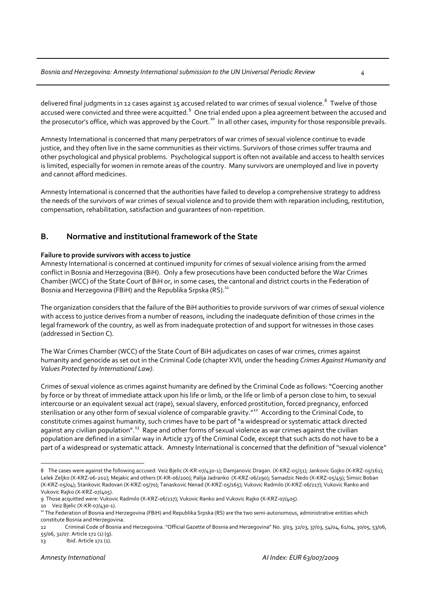delivered final judgments in 12 cases against 15 accused related to war crimes of sexual violence.<sup>[8](#page-3-0)</sup> Twelve of those accused were convicted and three were acquitted. $^9$  $^9$  One trial ended upon a plea agreement between the accused and the prosecutor's office, which was approved by the Court.<sup>[10](#page-3-2)</sup> In all other cases, impunity for those responsible prevails.

Amnesty International is concerned that many perpetrators of war crimes of sexual violence continue to evade justice, and they often live in the same communities as their victims. Survivors of those crimes suffer trauma and other psychological and physical problems. Psychological support is often not available and access to health services is limited, especially for women in remote areas of the country. Many survivors are unemployed and live in poverty and cannot afford medicines.

Amnesty International is concerned that the authorities have failed to develop a comprehensive strategy to address the needs of the survivors of war crimes of sexual violence and to provide them with reparation including, restitution, compensation, rehabilitation, satisfaction and guarantees of non‐repetition.

#### **B. Normative and institutional framework of the State**

#### **Failure to provide survivors with access to justice**

Amnesty International is concerned at continued impunity for crimes of sexual violence arising from the armed conflict in Bosnia and Herzegovina (BiH). Only a few prosecutions have been conducted before the War Crimes Chamber (WCC) of the State Court of BiH or, in some cases, the cantonal and district courts in the Federation of Bosnia and Herzegovina (FBiH) and the Republika Srpska (RS).<sup>[11](#page-3-3)</sup>

The organization considers that the failure of the BiH authorities to provide survivors of war crimes of sexual violence with access to justice derives from a number of reasons, including the inadequate definition of those crimes in the legal framework of the country, as well as from inadequate protection of and support for witnesses in those cases (addressed in Section C).

The War Crimes Chamber (WCC) of the State Court of BiH adjudicates on cases of war crimes, crimes against humanity and genocide as set out in the Criminal Code (chapter XVII, under the heading *Crimes Against Humanity and Values Protected by International Law)*.

Crimes of sexual violence as crimes against humanity are defined by the Criminal Code as follows:"Coercing another by force or by threat of immediate attack upon his life or limb, or the life or limb of a person close to him, to sexual intercourse or an equivalent sexual act (rape), sexual slavery, enforced prostitution, forced pregnancy, enforced sterilisation or any other form of sexual violence of comparable gravity."*[12](#page-3-4)* According to the Criminal Code, to constitute crimes against humanity, such crimes have to be part of"a widespread or systematic attack directed against any civilian population".<sup>[13](#page-3-5)</sup> Rape and other forms of sexual violence as war crimes against the civilian population are defined in a similar way in Article 173 of the Criminal Code, except that such acts do not have to be a part of a widespread or systematic attack. Amnesty International is concerned that the definition of "sexual violence"

 $\overline{a}$ 

<span id="page-3-5"></span>13 Ibid. Article 172 (1).

<span id="page-3-0"></span><sup>8</sup> The cases were against the following accused: Veiz Bjelic (X‐KR‐o7/430‐1); Damjanovic Dragan. (X‐KRZ‐o5/51); Jankovic Gojko (X‐KRZ‐o5/161); Lelek Zeljko (X‐KRZ‐06‐202); Mejakic and others (X‐KR‐06/200); Palija Jadranko (X‐KRZ‐06/290); Samadzic Nedo (X‐KRZ‐05/49); Simsic Boban (X‐KRZ‐05/04); Stankovic Radovan (X‐KRZ‐05/70); Tanaskovic Nenad (X‐KRZ‐05/165); Vukovic Radmilo (X‐KRZ‐06/217); Vukovic Ranko and Vukovic Rajko (X‐KRZ‐07/405).

<span id="page-3-1"></span><sup>9</sup> Those acquitted were: Vukovic Radmilo (X‐KRZ‐06/217); Vukovic Ranko and Vukovic Rajko (X‐KRZ‐07/405).

<span id="page-3-2"></span><sup>10</sup> Veiz Bjelic (X-KR-07/430-1).

<span id="page-3-3"></span><sup>11</sup> The Federation of Bosnia and Herzegovina (FBiH) and Republika Srpska (RS) are the two semi-autonomous, administrative entities which constitute Bosnia and Herzegovina.

<span id="page-3-4"></span><sup>12</sup> Criminal Code of Bosnia and Herzegovina. "Official Gazette of Bosnia and Herzegovina" No. 3/03, 32/03, 37/03, 54/04, 61/04, 30/05, 53/06, 55/06, 32/07. Article 172 (1) (g).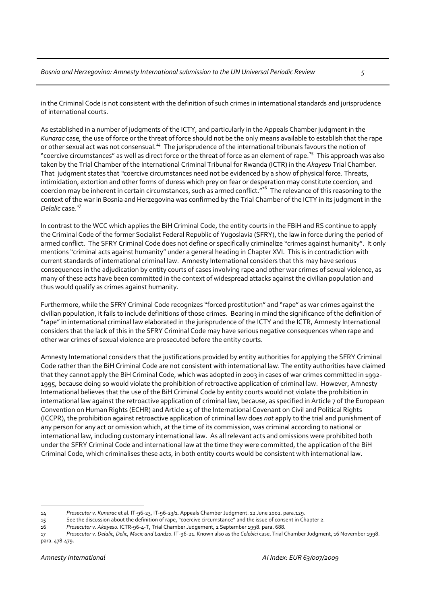in the Criminal Code is not consistent with the definition of such crimes in international standards and jurisprudence of international courts.

As established in a number of judgments of the ICTY, and particularly in the Appeals Chamber judgment in the *Kunarac* case, the use of force or the threat of force should not be the only means available to establish that the rape or other sexual act was not consensual.<sup>[14](#page-4-0)</sup> The jurisprudence of the international tribunals favours the notion of "coercive circumstances" as well as direct force or the threat of force as an element of rape.<sup>[15](#page-4-1)</sup> This approach was also taken by the Trial Chamber of the International Criminal Tribunal for Rwanda (ICTR) in the *Akayesu* Trial Chamber. That judgment states that *"*coercive circumstances need not be evidenced by a show of physical force. Threats, intimidation, extortion and other forms of duress which prey on fear or desperation may constitute coercion, and coercion may be inherent in certain circumstances, such as armed conflict.<sup>"[16](#page-4-2)</sup> The relevance of this reasoning to the context of the war in Bosnia and Herzegovina was confirmed by the Trial Chamber of the ICTY in its judgment in the *Delalic* case.<sup>[17](#page-4-3)</sup>

In contrast to the WCC which applies the BiH Criminal Code, the entity courts in the FBiH and RS continue to apply the Criminal Code of the former Socialist Federal Republic of Yugoslavia (SFRY), the law in force during the period of armed conflict. The SFRY Criminal Code does not define or specifically criminalize "crimes against humanity". It only mentions "criminal acts against humanity" under a general heading in Chapter XVI. This is in contradiction with current standards of international criminal law. Amnesty International considers that this may have serious consequences in the adjudication by entity courts of cases involving rape and other war crimes of sexual violence, as many of these acts have been committed in the context of widespread attacks against the civilian population and thus would qualify as crimes against humanity.

Furthermore, while the SFRY Criminal Code recognizes "forced prostitution" and "rape" as war crimes against the civilian population, it fails to include definitions of those crimes. Bearing in mind the significance of the definition of "rape" in international criminal law elaborated in the jurisprudence of the ICTY and the ICTR, Amnesty International considers that the lack of this in the SFRY Criminal Code may have serious negative consequences when rape and other war crimes of sexual violence are prosecuted before the entity courts.

Amnesty International considers that the justifications provided by entity authorities for applying the SFRY Criminal Code rather than the BiH Criminal Code are not consistent with international law. The entity authorities have claimed that they cannot apply the BiH Criminal Code, which was adopted in 2003 in cases of war crimes committed in 1992‐ 1995, because doing so would violate the prohibition of retroactive application of criminal law. However, Amnesty International believes that the use of the BiH Criminal Code by entity courts would not violate the prohibition in international law against the retroactive application of criminal law, because, as specified in Article 7 of the European Convention on Human Rights (ECHR) and Article 15 of the International Covenant on Civil and Political Rights (ICCPR), the prohibition against retroactive application of criminal law does *not* apply to the trial and punishment of any person for any act or omission which, at the time of its commission, was criminal according to national or international law, including customary international law. As all relevant acts and omissions were prohibited both under the SFRY Criminal Code and international law at the time they were committed, the application of the BiH Criminal Code, which criminalises these acts, in both entity courts would be consistent with international law.

 $\overline{a}$ 14 *Prosecutor v. Kunarac* et al. IT‐96‐23, IT‐96‐23/1. Appeals Chamber Judgment. 12 June 2002. para.129.

<span id="page-4-1"></span><span id="page-4-0"></span><sup>15</sup> See the discussion about the definition of rape, "coercive circumstance" and the issue of consent in Chapter 2.

<span id="page-4-2"></span><sup>16</sup> *Prosecutor v. Akayesu.* ICTR‐96‐4‐T, Trial Chamber Judgement, 2 September 1998. para. 688.

<span id="page-4-3"></span><sup>17</sup> *Prosecutor v. Delalic, Delic, Mucic and Landzo.* IT‐96‐21. Known also as the *Celebici* case. Trial Chamber Judgment, 16 November 1998. para. 478‐479.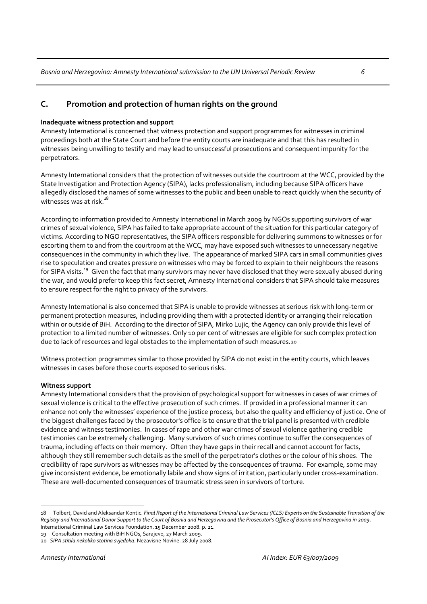#### **C. Promotion and protection of human rights on the ground**

#### **Inadequate witness protection and support**

Amnesty International is concerned that witness protection and support programmes for witnesses in criminal proceedings both at the State Court and before the entity courts are inadequate and that this has resulted in witnesses being unwilling to testify and may lead to unsuccessful prosecutions and consequent impunity for the perpetrators.

Amnesty International considers that the protection of witnesses outside the courtroom at the WCC, provided by the State Investigation and Protection Agency (SIPA), lacks professionalism, including because SIPA officers have allegedly disclosed the names of some witnesses to the public and been unable to react quickly when the security of witnesses was at risk.<sup>[18](#page-5-0)</sup>

According to information provided to Amnesty International in March 2009 by NGOs supporting survivors of war crimes of sexual violence, SIPA has failed to take appropriate account of the situation for this particular category of victims. According to NGO representatives, the SIPA officers responsible for delivering summons to witnesses or for escorting them to and from the courtroom at the WCC, may have exposed such witnesses to unnecessary negative consequences in the community in which they live. The appearance of marked SIPA cars in small communities gives rise to speculation and creates pressure on witnesses who may be forced to explain to their neighbours the reasons for SIPA visits.<sup>[19](#page-5-1)</sup> Given the fact that many survivors may never have disclosed that they were sexually abused during the war, and would prefer to keep this fact secret, Amnesty International considers that SIPA should take measures to ensure respect for the right to privacy of the survivors.

Amnesty International is also concerned that SIPA is unable to provide witnesses at serious risk with long‐term or permanent protection measures, including providing them with a protected identity or arranging their relocation within or outside of BiH. According to the director of SIPA, Mirko Lujic, the Agency can only provide this level of protection to a limited number of witnesses. Only 10 per cent of witnesses are eligible for such complex protection due to lack of resources and legal obstacles to the implementation of such measures.[20](#page-5-2)

Witness protection programmes similar to those provided by SIPA do not exist in the entity courts, which leaves witnesses in cases before those courts exposed to serious risks.

#### **Witness support**

Amnesty International considers that the provision of psychological support for witnesses in cases of war crimes of sexual violence is critical to the effective prosecution of such crimes. If provided in a professional manner it can enhance not only the witnesses' experience of the justice process, but also the quality and efficiency of justice. One of the biggest challenges faced by the prosecutor's office is to ensure that the trial panel is presented with credible evidence and witness testimonies. In cases of rape and other war crimes of sexual violence gathering credible testimonies can be extremely challenging. Many survivors of such crimes continue to suffer the consequences of trauma, including effects on their memory. Often they have gaps in their recall and cannot account for facts, although they still remember such details as the smell of the perpetrator's clothes or the colour of his shoes. The credibility of rape survivors as witnesses may be affected by the consequences of trauma. For example, some may give inconsistent evidence, be emotionally labile and show signs of irritation, particularly under cross-examination. These are well‐documented consequences of traumatic stress seen in survivors of torture.

<span id="page-5-1"></span>19 Consultation meeting with BiH NGOs, Sarajevo, 27 March 2009.

 $\overline{a}$ 

<span id="page-5-0"></span><sup>18</sup> Tolbert, David and Aleksandar Kontic. Final Report of the International Criminal Law Services (ICLS) Experts on the Sustainable Transition of the Registry and International Donor Support to the Court of Bosnia and Herzegovina and the Prosecutor's Office of Bosnia and Herzegovina in 2009. International Criminal Law Services Foundation. 15 December 2008. p. 21.

<span id="page-5-2"></span><sup>20</sup> *SIPA stitila nekoliko stotina svjedoka*. Nezavisne Novine. 28 July 2008.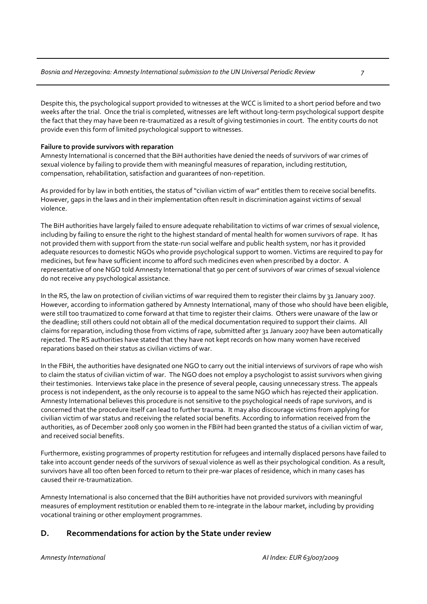Despite this, the psychological support provided to witnesses at the WCC is limited to a short period before and two weeks after the trial. Once the trial is completed, witnesses are left without long-term psychological support despite the fact that they may have been re-traumatized as a result of giving testimonies in court. The entity courts do not provide even this form of limited psychological support to witnesses.

#### **Failure to provide survivors with reparation**

Amnesty International is concerned that the BiH authorities have denied the needs of survivors of war crimes of sexual violence by failing to provide them with meaningful measures of reparation, including restitution, compensation, rehabilitation, satisfaction and guarantees of non‐repetition.

As provided for by law in both entities, the status of "civilian victim of war" entitles them to receive social benefits. However, gaps in the laws and in their implementation often result in discrimination against victims of sexual violence.

The BiH authorities have largely failed to ensure adequate rehabilitation to victims of war crimes of sexual violence, including by failing to ensure the right to the highest standard of mental health for women survivors of rape. It has not provided them with support from the state‐run social welfare and public health system, nor has it provided adequate resources to domestic NGOs who provide psychological support to women. Victims are required to pay for medicines, but few have sufficient income to afford such medicines even when prescribed by a doctor. A representative of one NGO told Amnesty International that 90 per cent of survivors of war crimes of sexual violence do not receive any psychological assistance.

In the RS, the law on protection of civilian victims of war required them to register their claims by 31 January 2007. However, according to information gathered by Amnesty International, many of those who should have been eligible, were still too traumatized to come forward at that time to register their claims. Others were unaware of the law or the deadline; still others could not obtain all of the medical documentation required to support their claims. All claims for reparation, including those from victims of rape, submitted after 31 January 2007 have been automatically rejected. The RS authorities have stated that they have not kept records on how many women have received reparations based on their status as civilian victims of war.

In the FBiH, the authorities have designated one NGO to carry out the initial interviews of survivors of rape who wish to claim the status of civilian victim of war. The NGO does not employ a psychologist to assist survivors when giving their testimonies. Interviews take place in the presence of several people, causing unnecessary stress. The appeals process is not independent, as the only recourse is to appeal to the same NGO which has rejected their application. Amnesty International believes this procedure is not sensitive to the psychological needs of rape survivors, and is concerned that the procedure itself can lead to further trauma. It may also discourage victims from applying for civilian victim of war status and receiving the related social benefits. According to information received from the authorities, as of December 2008 only 500 women in the FBiH had been granted the status of a civilian victim of war, and received social benefits.

Furthermore, existing programmes of property restitution for refugees and internally displaced persons have failed to take into account gender needs of the survivors of sexual violence as well as their psychological condition. As a result, survivors have all too often been forced to return to their pre‐war places of residence, which in many cases has caused their re‐traumatization.

Amnesty International is also concerned that the BiH authorities have not provided survivors with meaningful measures of employment restitution or enabled them to re‐integrate in the labour market, including by providing vocational training or other employment programmes.

#### **D. Recommendations for action by the State under review**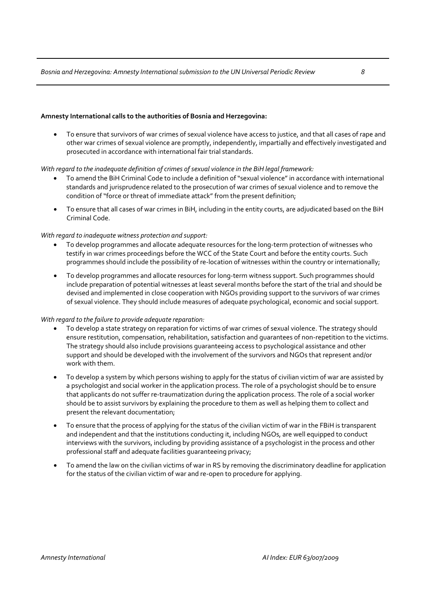#### **Amnesty International calls to the authorities of Bosnia and Herzegovina:**

• To ensure that survivors of war crimes of sexual violence have access to justice, and that all cases of rape and other war crimes of sexual violence are promptly, independently, impartially and effectively investigated and prosecuted in accordance with international fair trial standards.

#### *With regard to the inadequate definition of crimes of sexual violence in the BiH legal framework:*

- To amend the BiH Criminal Code to include a definition of"sexual violence" in accordance with international standards and jurisprudence related to the prosecution of war crimes of sexual violence and to remove the condition of"force or threat of immediate attack" from the present definition;
- To ensure that all cases of war crimes in BiH, including in the entity courts, are adjudicated based on the BiH Criminal Code.

#### *With regard to inadequate witness protection and support:*

- To develop programmes and allocate adequate resources for the long‐term protection of witnesses who testify in war crimes proceedings before the WCC of the State Court and before the entity courts. Such programmes should include the possibility of re-location of witnesses within the country or internationally;
- To develop programmes and allocate resources for long-term witness support. Such programmes should include preparation of potential witnesses at least several months before the start of the trial and should be devised and implemented in close cooperation with NGOs providing support to the survivors of war crimes of sexual violence. They should include measures of adequate psychological, economic and social support.

#### *With regard to the failure to provide adequate reparation:*

- To develop a state strategy on reparation for victims of war crimes of sexual violence. The strategy should ensure restitution, compensation, rehabilitation, satisfaction and guarantees of non‐repetition to the victims. The strategy should also include provisions guaranteeing access to psychological assistance and other support and should be developed with the involvement of the survivors and NGOs that represent and/or work with them.
- To develop a system by which persons wishing to apply for the status of civilian victim of war are assisted by a psychologist and social worker in the application process. The role of a psychologist should be to ensure that applicants do not suffer re‐traumatization during the application process. The role of a social worker should be to assist survivors by explaining the procedure to them as well as helping them to collect and present the relevant documentation;
- To ensure that the process of applying for the status of the civilian victim of war in the FBiH is transparent and independent and that the institutions conducting it, including NGOs, are well equipped to conduct interviews with the survivors, including by providing assistance of a psychologist in the process and other professional staff and adequate facilities guaranteeing privacy;
- To amend the law on the civilian victims of war in RS by removing the discriminatory deadline for application for the status of the civilian victim of war and re-open to procedure for applying.